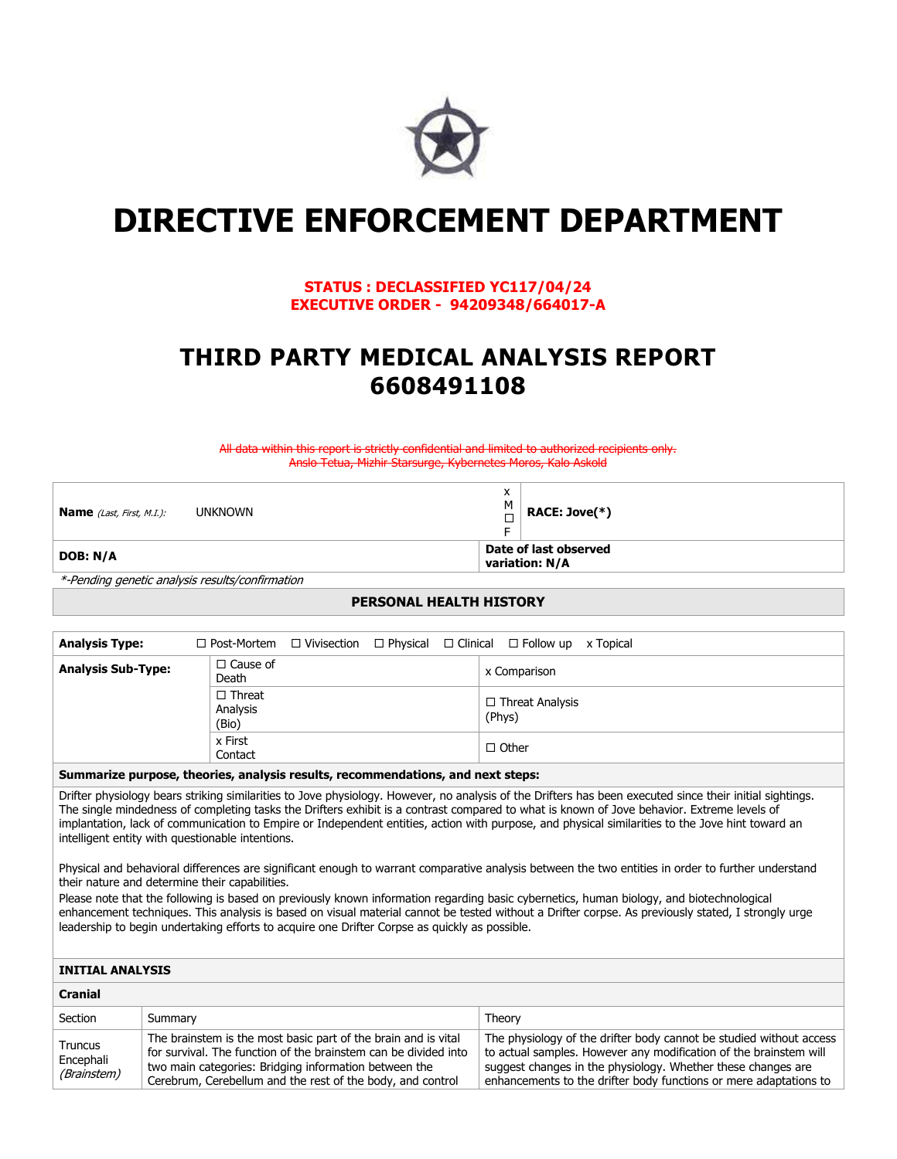

# **DIRECTIVE ENFORCEMENT DEPARTMENT**

# **STATUS : DECLASSIFIED YC117/04/24 EXECUTIVE ORDER - 94209348/664017-A**

# **THIRD PARTY MEDICAL ANALYSIS REPORT 6608491108**

All data within this report is strictly confidential and limited to authorized recipients only. Anslo Tetua, Mizhir Starsurge, Kybernetes Moros, Kalo Askold

| <b>Name</b> (Last, First, M.I.): | <b>UNKNOWN</b> | M | RACE: Jove $(*)$                        |
|----------------------------------|----------------|---|-----------------------------------------|
| DOB: N/A                         |                |   | Date of last observed<br>variation: N/A |

\*-Pending genetic analysis results/confirmation

## **PERSONAL HEALTH HISTORY**

| <b>Analysis Type:</b>                                                           |                                    |  |  |  | $\Box$ Post-Mortem $\Box$ Vivisection $\Box$ Physical $\Box$ Clinical $\Box$ Follow up x Topical |  |
|---------------------------------------------------------------------------------|------------------------------------|--|--|--|--------------------------------------------------------------------------------------------------|--|
| <b>Analysis Sub-Type:</b>                                                       | $\Box$ Cause of<br>Death           |  |  |  | x Comparison                                                                                     |  |
|                                                                                 | $\Box$ Threat<br>Analysis<br>(Bio) |  |  |  | $\Box$ Threat Analysis<br>(Phys)                                                                 |  |
|                                                                                 | x First<br>Contact                 |  |  |  | $\Box$ Other                                                                                     |  |
| Summarize nurnose, theories, analysis results, recommendations, and next stensy |                                    |  |  |  |                                                                                                  |  |

#### **Summarize purpose, theories, analysis results, recommendations, and next steps:**

Drifter physiology bears striking similarities to Jove physiology. However, no analysis of the Drifters has been executed since their initial sightings. The single mindedness of completing tasks the Drifters exhibit is a contrast compared to what is known of Jove behavior. Extreme levels of implantation, lack of communication to Empire or Independent entities, action with purpose, and physical similarities to the Jove hint toward an intelligent entity with questionable intentions.

Physical and behavioral differences are significant enough to warrant comparative analysis between the two entities in order to further understand their nature and determine their capabilities.

Please note that the following is based on previously known information regarding basic cybernetics, human biology, and biotechnological enhancement techniques. This analysis is based on visual material cannot be tested without a Drifter corpse. As previously stated, I strongly urge leadership to begin undertaking efforts to acquire one Drifter Corpse as quickly as possible.

#### **INITIAL ANALYSIS**

**Cranial**

| Graniar                             |                                                                                                                                                                                                                                                          |                                                                                                                                                                                                                                                                               |
|-------------------------------------|----------------------------------------------------------------------------------------------------------------------------------------------------------------------------------------------------------------------------------------------------------|-------------------------------------------------------------------------------------------------------------------------------------------------------------------------------------------------------------------------------------------------------------------------------|
| Section                             | Summary                                                                                                                                                                                                                                                  | Theory                                                                                                                                                                                                                                                                        |
| Truncus<br>Encephali<br>(Brainstem) | The brainstem is the most basic part of the brain and is vital<br>for survival. The function of the brainstem can be divided into<br>two main categories: Bridging information between the<br>Cerebrum, Cerebellum and the rest of the body, and control | The physiology of the drifter body cannot be studied without access<br>to actual samples. However any modification of the brainstem will<br>suggest changes in the physiology. Whether these changes are<br>enhancements to the drifter body functions or mere adaptations to |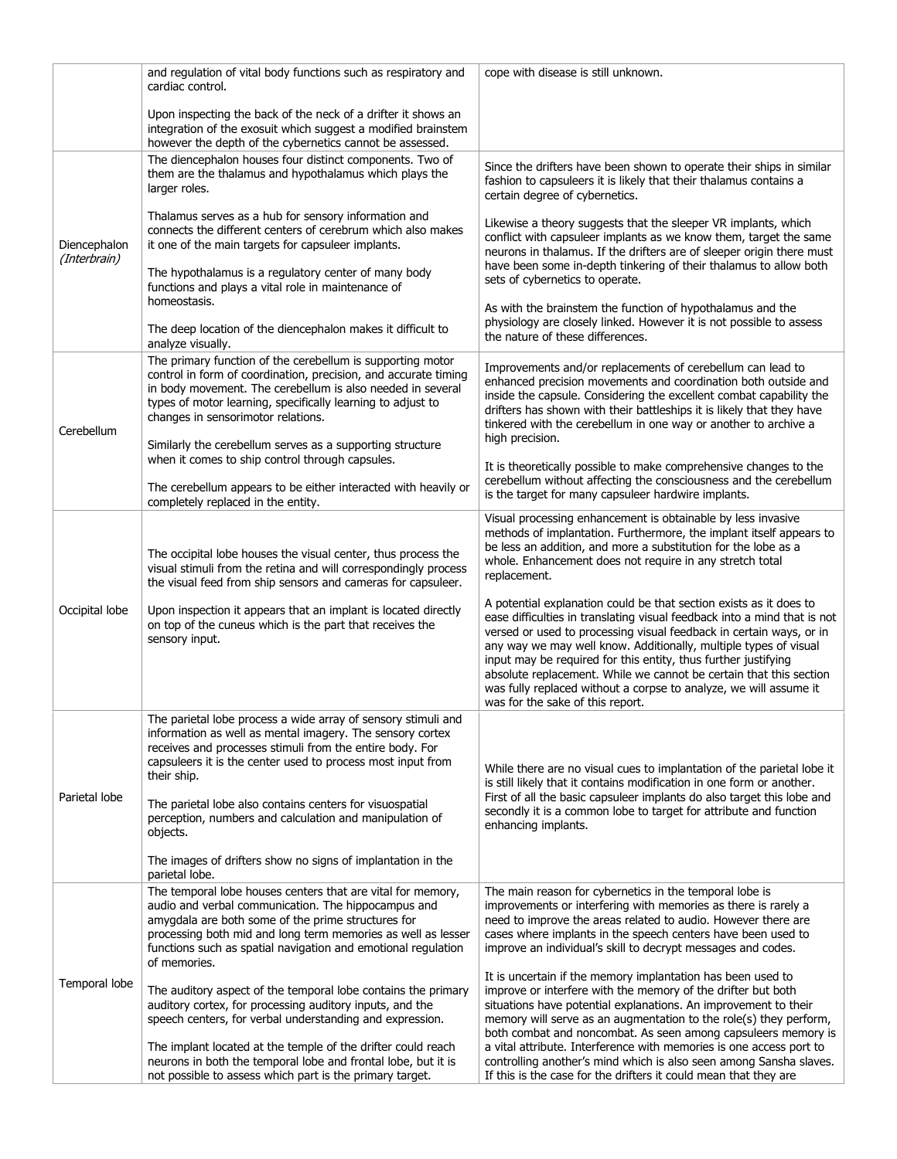|                              | and regulation of vital body functions such as respiratory and<br>cardiac control.                                                                                                                                                                                                                                                                                                                      | cope with disease is still unknown.                                                                                                                                                                                                                                                                                                                                                                                                                                                                                                        |  |  |  |
|------------------------------|---------------------------------------------------------------------------------------------------------------------------------------------------------------------------------------------------------------------------------------------------------------------------------------------------------------------------------------------------------------------------------------------------------|--------------------------------------------------------------------------------------------------------------------------------------------------------------------------------------------------------------------------------------------------------------------------------------------------------------------------------------------------------------------------------------------------------------------------------------------------------------------------------------------------------------------------------------------|--|--|--|
|                              | Upon inspecting the back of the neck of a drifter it shows an<br>integration of the exosuit which suggest a modified brainstem<br>however the depth of the cybernetics cannot be assessed.                                                                                                                                                                                                              |                                                                                                                                                                                                                                                                                                                                                                                                                                                                                                                                            |  |  |  |
|                              | The diencephalon houses four distinct components. Two of<br>them are the thalamus and hypothalamus which plays the<br>larger roles.                                                                                                                                                                                                                                                                     | Since the drifters have been shown to operate their ships in similar<br>fashion to capsuleers it is likely that their thalamus contains a<br>certain degree of cybernetics.                                                                                                                                                                                                                                                                                                                                                                |  |  |  |
| Diencephalon<br>(Interbrain) | Thalamus serves as a hub for sensory information and<br>connects the different centers of cerebrum which also makes<br>it one of the main targets for capsuleer implants.<br>The hypothalamus is a regulatory center of many body<br>functions and plays a vital role in maintenance of<br>homeostasis.<br>The deep location of the diencephalon makes it difficult to                                  | Likewise a theory suggests that the sleeper VR implants, which<br>conflict with capsuleer implants as we know them, target the same<br>neurons in thalamus. If the drifters are of sleeper origin there must<br>have been some in-depth tinkering of their thalamus to allow both<br>sets of cybernetics to operate.<br>As with the brainstem the function of hypothalamus and the<br>physiology are closely linked. However it is not possible to assess<br>the nature of these differences.                                              |  |  |  |
| Cerebellum                   | analyze visually.<br>The primary function of the cerebellum is supporting motor<br>control in form of coordination, precision, and accurate timing<br>in body movement. The cerebellum is also needed in several<br>types of motor learning, specifically learning to adjust to<br>changes in sensorimotor relations.<br>Similarly the cerebellum serves as a supporting structure                      | Improvements and/or replacements of cerebellum can lead to<br>enhanced precision movements and coordination both outside and<br>inside the capsule. Considering the excellent combat capability the<br>drifters has shown with their battleships it is likely that they have<br>tinkered with the cerebellum in one way or another to archive a<br>high precision.                                                                                                                                                                         |  |  |  |
|                              | when it comes to ship control through capsules.<br>The cerebellum appears to be either interacted with heavily or<br>completely replaced in the entity.                                                                                                                                                                                                                                                 | It is theoretically possible to make comprehensive changes to the<br>cerebellum without affecting the consciousness and the cerebellum<br>is the target for many capsuleer hardwire implants.                                                                                                                                                                                                                                                                                                                                              |  |  |  |
|                              | The occipital lobe houses the visual center, thus process the<br>visual stimuli from the retina and will correspondingly process<br>the visual feed from ship sensors and cameras for capsuleer.                                                                                                                                                                                                        | Visual processing enhancement is obtainable by less invasive<br>methods of implantation. Furthermore, the implant itself appears to<br>be less an addition, and more a substitution for the lobe as a<br>whole. Enhancement does not require in any stretch total<br>replacement.                                                                                                                                                                                                                                                          |  |  |  |
| Occipital lobe               | Upon inspection it appears that an implant is located directly<br>on top of the cuneus which is the part that receives the<br>sensory input.                                                                                                                                                                                                                                                            | A potential explanation could be that section exists as it does to<br>ease difficulties in translating visual feedback into a mind that is not<br>versed or used to processing visual feedback in certain ways, or in<br>any way we may well know. Additionally, multiple types of visual<br>input may be required for this entity, thus further justifying<br>absolute replacement. While we cannot be certain that this section<br>was fully replaced without a corpse to analyze, we will assume it<br>was for the sake of this report. |  |  |  |
| Parietal lobe                | The parietal lobe process a wide array of sensory stimuli and<br>information as well as mental imagery. The sensory cortex<br>receives and processes stimuli from the entire body. For<br>capsuleers it is the center used to process most input from<br>their ship.<br>The parietal lobe also contains centers for visuospatial<br>perception, numbers and calculation and manipulation of<br>objects. | While there are no visual cues to implantation of the parietal lobe it<br>is still likely that it contains modification in one form or another.<br>First of all the basic capsuleer implants do also target this lobe and<br>secondly it is a common lobe to target for attribute and function<br>enhancing implants.                                                                                                                                                                                                                      |  |  |  |
|                              | The images of drifters show no signs of implantation in the<br>parietal lobe.                                                                                                                                                                                                                                                                                                                           |                                                                                                                                                                                                                                                                                                                                                                                                                                                                                                                                            |  |  |  |
|                              | The temporal lobe houses centers that are vital for memory,<br>audio and verbal communication. The hippocampus and<br>amygdala are both some of the prime structures for<br>processing both mid and long term memories as well as lesser<br>functions such as spatial navigation and emotional regulation<br>of memories.                                                                               | The main reason for cybernetics in the temporal lobe is<br>improvements or interfering with memories as there is rarely a<br>need to improve the areas related to audio. However there are<br>cases where implants in the speech centers have been used to<br>improve an individual's skill to decrypt messages and codes.                                                                                                                                                                                                                 |  |  |  |
| Temporal lobe                | The auditory aspect of the temporal lobe contains the primary<br>auditory cortex, for processing auditory inputs, and the<br>speech centers, for verbal understanding and expression.<br>The implant located at the temple of the drifter could reach<br>neurons in both the temporal lobe and frontal lobe, but it is                                                                                  | It is uncertain if the memory implantation has been used to<br>improve or interfere with the memory of the drifter but both<br>situations have potential explanations. An improvement to their<br>memory will serve as an augmentation to the role(s) they perform,<br>both combat and noncombat. As seen among capsuleers memory is<br>a vital attribute. Interference with memories is one access port to<br>controlling another's mind which is also seen among Sansha slaves.                                                          |  |  |  |
|                              | not possible to assess which part is the primary target.                                                                                                                                                                                                                                                                                                                                                | If this is the case for the drifters it could mean that they are                                                                                                                                                                                                                                                                                                                                                                                                                                                                           |  |  |  |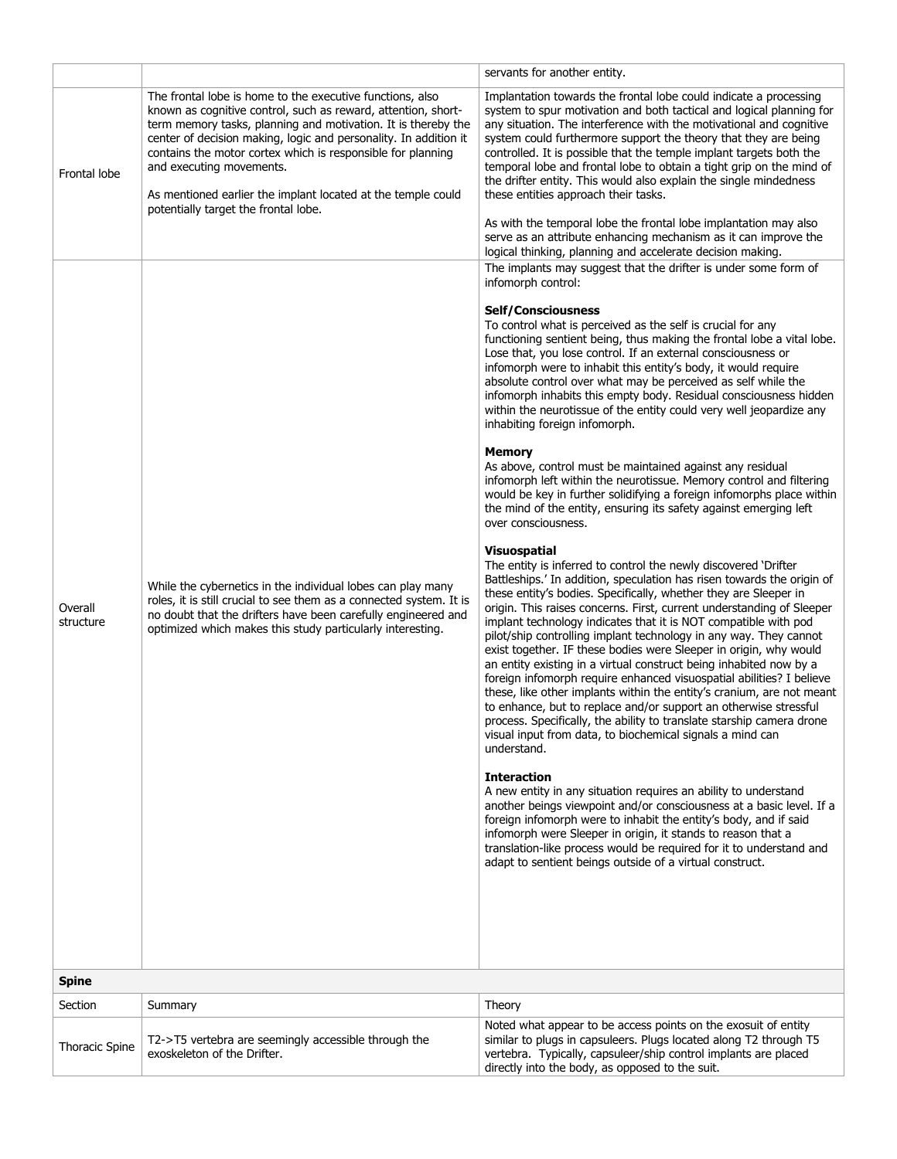|                       |                                                                                                                                                                                                                                                                                                                                                                                                                                                                    | servants for another entity.                                                                                                                                                                                                                                                                                                                                                                                                                                                                                                                                                                                                                                                                                                                                                                                                                                                                                                                                                                                                                                                                                                                                                                                                                                                                                                                                                                                                                                                                                                                                                                                                                                                                                                                                                                                                                                                                                                                                                                                                                                                                                                                                                                                                                                                                                                                                                                |
|-----------------------|--------------------------------------------------------------------------------------------------------------------------------------------------------------------------------------------------------------------------------------------------------------------------------------------------------------------------------------------------------------------------------------------------------------------------------------------------------------------|---------------------------------------------------------------------------------------------------------------------------------------------------------------------------------------------------------------------------------------------------------------------------------------------------------------------------------------------------------------------------------------------------------------------------------------------------------------------------------------------------------------------------------------------------------------------------------------------------------------------------------------------------------------------------------------------------------------------------------------------------------------------------------------------------------------------------------------------------------------------------------------------------------------------------------------------------------------------------------------------------------------------------------------------------------------------------------------------------------------------------------------------------------------------------------------------------------------------------------------------------------------------------------------------------------------------------------------------------------------------------------------------------------------------------------------------------------------------------------------------------------------------------------------------------------------------------------------------------------------------------------------------------------------------------------------------------------------------------------------------------------------------------------------------------------------------------------------------------------------------------------------------------------------------------------------------------------------------------------------------------------------------------------------------------------------------------------------------------------------------------------------------------------------------------------------------------------------------------------------------------------------------------------------------------------------------------------------------------------------------------------------------|
| Frontal lobe          | The frontal lobe is home to the executive functions, also<br>known as cognitive control, such as reward, attention, short-<br>term memory tasks, planning and motivation. It is thereby the<br>center of decision making, logic and personality. In addition it<br>contains the motor cortex which is responsible for planning<br>and executing movements.<br>As mentioned earlier the implant located at the temple could<br>potentially target the frontal lobe. | Implantation towards the frontal lobe could indicate a processing<br>system to spur motivation and both tactical and logical planning for<br>any situation. The interference with the motivational and cognitive<br>system could furthermore support the theory that they are being<br>controlled. It is possible that the temple implant targets both the<br>temporal lobe and frontal lobe to obtain a tight grip on the mind of<br>the drifter entity. This would also explain the single mindedness<br>these entities approach their tasks.<br>As with the temporal lobe the frontal lobe implantation may also<br>serve as an attribute enhancing mechanism as it can improve the<br>logical thinking, planning and accelerate decision making.                                                                                                                                                                                                                                                                                                                                                                                                                                                                                                                                                                                                                                                                                                                                                                                                                                                                                                                                                                                                                                                                                                                                                                                                                                                                                                                                                                                                                                                                                                                                                                                                                                        |
| Overall<br>structure  | While the cybernetics in the individual lobes can play many<br>roles, it is still crucial to see them as a connected system. It is<br>no doubt that the drifters have been carefully engineered and<br>optimized which makes this study particularly interesting.                                                                                                                                                                                                  | The implants may suggest that the drifter is under some form of<br>infomorph control:<br><b>Self/Consciousness</b><br>To control what is perceived as the self is crucial for any<br>functioning sentient being, thus making the frontal lobe a vital lobe.<br>Lose that, you lose control. If an external consciousness or<br>infomorph were to inhabit this entity's body, it would require<br>absolute control over what may be perceived as self while the<br>infomorph inhabits this empty body. Residual consciousness hidden<br>within the neurotissue of the entity could very well jeopardize any<br>inhabiting foreign infomorph.<br><b>Memory</b><br>As above, control must be maintained against any residual<br>infomorph left within the neurotissue. Memory control and filtering<br>would be key in further solidifying a foreign infomorphs place within<br>the mind of the entity, ensuring its safety against emerging left<br>over consciousness.<br><b>Visuospatial</b><br>The entity is inferred to control the newly discovered 'Drifter<br>Battleships.' In addition, speculation has risen towards the origin of<br>these entity's bodies. Specifically, whether they are Sleeper in<br>origin. This raises concerns. First, current understanding of Sleeper<br>implant technology indicates that it is NOT compatible with pod<br>pilot/ship controlling implant technology in any way. They cannot<br>exist together. IF these bodies were Sleeper in origin, why would<br>an entity existing in a virtual construct being inhabited now by a<br>foreign infomorph require enhanced visuospatial abilities? I believe<br>these, like other implants within the entity's cranium, are not meant<br>to enhance, but to replace and/or support an otherwise stressful<br>process. Specifically, the ability to translate starship camera drone<br>visual input from data, to biochemical signals a mind can<br>understand.<br><b>Interaction</b><br>A new entity in any situation requires an ability to understand<br>another beings viewpoint and/or consciousness at a basic level. If a<br>foreign infomorph were to inhabit the entity's body, and if said<br>infomorph were Sleeper in origin, it stands to reason that a<br>translation-like process would be required for it to understand and<br>adapt to sentient beings outside of a virtual construct. |
| <b>Spine</b>          |                                                                                                                                                                                                                                                                                                                                                                                                                                                                    |                                                                                                                                                                                                                                                                                                                                                                                                                                                                                                                                                                                                                                                                                                                                                                                                                                                                                                                                                                                                                                                                                                                                                                                                                                                                                                                                                                                                                                                                                                                                                                                                                                                                                                                                                                                                                                                                                                                                                                                                                                                                                                                                                                                                                                                                                                                                                                                             |
| Section               | Summary                                                                                                                                                                                                                                                                                                                                                                                                                                                            | Theory                                                                                                                                                                                                                                                                                                                                                                                                                                                                                                                                                                                                                                                                                                                                                                                                                                                                                                                                                                                                                                                                                                                                                                                                                                                                                                                                                                                                                                                                                                                                                                                                                                                                                                                                                                                                                                                                                                                                                                                                                                                                                                                                                                                                                                                                                                                                                                                      |
| <b>Thoracic Spine</b> | T2->T5 vertebra are seemingly accessible through the<br>exoskeleton of the Drifter.                                                                                                                                                                                                                                                                                                                                                                                | Noted what appear to be access points on the exosuit of entity<br>similar to plugs in capsuleers. Plugs located along T2 through T5<br>vertebra. Typically, capsuleer/ship control implants are placed<br>directly into the body, as opposed to the suit.                                                                                                                                                                                                                                                                                                                                                                                                                                                                                                                                                                                                                                                                                                                                                                                                                                                                                                                                                                                                                                                                                                                                                                                                                                                                                                                                                                                                                                                                                                                                                                                                                                                                                                                                                                                                                                                                                                                                                                                                                                                                                                                                   |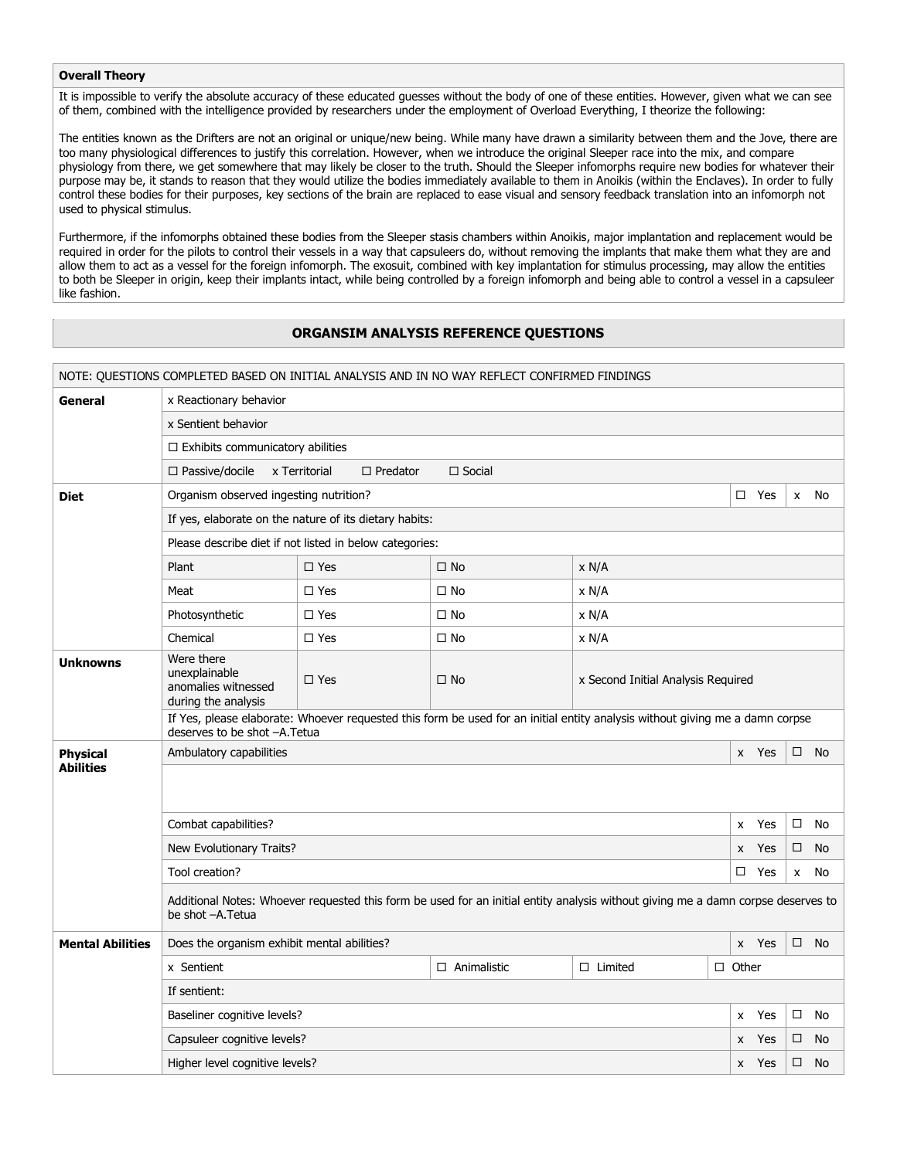#### **Overall Theory**

It is impossible to verify the absolute accuracy of these educated guesses without the body of one of these entities. However, given what we can see of them, combined with the intelligence provided by researchers under the employment of Overload Everything, I theorize the following:

The entities known as the Drifters are not an original or unique/new being. While many have drawn a similarity between them and the Jove, there are too many physiological differences to justify this correlation. However, when we introduce the original Sleeper race into the mix, and compare physiology from there, we get somewhere that may likely be closer to the truth. Should the Sleeper infomorphs require new bodies for whatever their purpose may be, it stands to reason that they would utilize the bodies immediately available to them in Anoikis (within the Enclaves). In order to fully control these bodies for their purposes, key sections of the brain are replaced to ease visual and sensory feedback translation into an infomorph not used to physical stimulus.

Furthermore, if the infomorphs obtained these bodies from the Sleeper stasis chambers within Anoikis, major implantation and replacement would be required in order for the pilots to control their vessels in a way that capsuleers do, without removing the implants that make them what they are and allow them to act as a vessel for the foreign infomorph. The exosuit, combined with key implantation for stimulus processing, may allow the entities to both be Sleeper in origin, keep their implants intact, while being controlled by a foreign infomorph and being able to control a vessel in a capsuleer like fashion.

#### **ORGANSIM ANALYSIS REFERENCE QUESTIONS**

|                         | NOTE: QUESTIONS COMPLETED BASED ON INITIAL ANALYSIS AND IN NO WAY REFLECT CONFIRMED FINDINGS                                                                 |                                                         |               |                                    |              |       |        |           |
|-------------------------|--------------------------------------------------------------------------------------------------------------------------------------------------------------|---------------------------------------------------------|---------------|------------------------------------|--------------|-------|--------|-----------|
| General                 | x Reactionary behavior                                                                                                                                       |                                                         |               |                                    |              |       |        |           |
|                         | x Sentient behavior                                                                                                                                          |                                                         |               |                                    |              |       |        |           |
|                         | $\Box$ Exhibits communicatory abilities                                                                                                                      |                                                         |               |                                    |              |       |        |           |
|                         | $\Box$ Passive/docile                                                                                                                                        | x Territorial<br>$\Box$ Predator                        | $\Box$ Social |                                    |              |       |        |           |
| <b>Diet</b>             | Organism observed ingesting nutrition?<br>$\Box$ Yes<br>No<br>$\mathsf{x}$                                                                                   |                                                         |               |                                    |              |       |        |           |
|                         | If yes, elaborate on the nature of its dietary habits:                                                                                                       |                                                         |               |                                    |              |       |        |           |
|                         |                                                                                                                                                              | Please describe diet if not listed in below categories: |               |                                    |              |       |        |           |
|                         | Plant                                                                                                                                                        | $\square$ Yes                                           | $\square$ No  | x N/A                              |              |       |        |           |
|                         | Meat                                                                                                                                                         | $\Box$ Yes                                              | $\square$ No  | x N/A                              |              |       |        |           |
|                         | Photosynthetic                                                                                                                                               | $\Box$ Yes                                              | $\Box$ No     | x N/A                              |              |       |        |           |
|                         | Chemical                                                                                                                                                     | $\Box$ Yes                                              | $\Box$ No     | x N/A                              |              |       |        |           |
| <b>Unknowns</b>         | Were there<br>unexplainable<br>anomalies witnessed<br>during the analysis                                                                                    | $\Box$ Yes                                              | $\Box$ No     | x Second Initial Analysis Required |              |       |        |           |
|                         | If Yes, please elaborate: Whoever requested this form be used for an initial entity analysis without giving me a damn corpse<br>deserves to be shot -A.Tetua |                                                         |               |                                    |              |       |        |           |
| <b>Physical</b>         | Ambulatory capabilities                                                                                                                                      |                                                         |               |                                    |              | x Yes | $\Box$ | <b>No</b> |
| <b>Abilities</b>        |                                                                                                                                                              |                                                         |               |                                    |              |       |        |           |
|                         | Combat capabilities?<br>$\Box$<br>x Yes                                                                                                                      |                                                         |               |                                    |              |       | No     |           |
|                         | New Evolutionary Traits?<br>Yes<br>$\Box$<br>X                                                                                                               |                                                         |               |                                    |              |       | No     |           |
|                         | Tool creation?<br>$\Box$ Yes<br>X                                                                                                                            |                                                         |               |                                    |              |       | No     |           |
|                         | Additional Notes: Whoever requested this form be used for an initial entity analysis without giving me a damn corpse deserves to<br>be shot -A.Tetua         |                                                         |               |                                    |              |       |        |           |
| <b>Mental Abilities</b> | Does the organism exhibit mental abilities?<br>x Yes<br>$\Box$<br>- No                                                                                       |                                                         |               |                                    |              |       |        |           |
|                         | x Sentient<br>$\Box$ Animalistic<br>$\Box$ Limited<br>$\Box$ Other                                                                                           |                                                         |               |                                    |              |       |        |           |
|                         | If sentient:                                                                                                                                                 |                                                         |               |                                    |              |       |        |           |
|                         | Baseliner cognitive levels?                                                                                                                                  |                                                         |               |                                    | X            | Yes   | $\Box$ | No        |
|                         | Capsuleer cognitive levels?                                                                                                                                  |                                                         |               |                                    | $\mathsf{x}$ | Yes   | $\Box$ | No        |
|                         | Higher level cognitive levels?                                                                                                                               |                                                         |               |                                    | X            | Yes   | $\Box$ | No        |